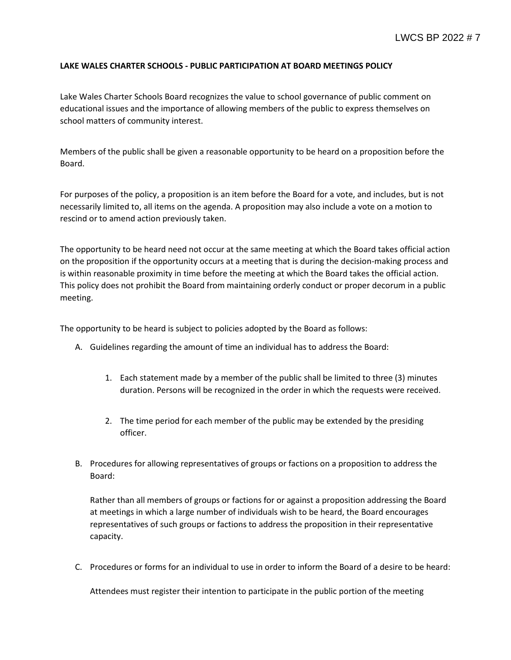## **LAKE WALES CHARTER SCHOOLS - PUBLIC PARTICIPATION AT BOARD MEETINGS POLICY**

Lake Wales Charter Schools Board recognizes the value to school governance of public comment on educational issues and the importance of allowing members of the public to express themselves on school matters of community interest.

Members of the public shall be given a reasonable opportunity to be heard on a proposition before the Board.

For purposes of the policy, a proposition is an item before the Board for a vote, and includes, but is not necessarily limited to, all items on the agenda. A proposition may also include a vote on a motion to rescind or to amend action previously taken.

The opportunity to be heard need not occur at the same meeting at which the Board takes official action on the proposition if the opportunity occurs at a meeting that is during the decision-making process and is within reasonable proximity in time before the meeting at which the Board takes the official action. This policy does not prohibit the Board from maintaining orderly conduct or proper decorum in a public meeting.

The opportunity to be heard is subject to policies adopted by the Board as follows:

- A. Guidelines regarding the amount of time an individual has to address the Board:
	- 1. Each statement made by a member of the public shall be limited to three (3) minutes duration. Persons will be recognized in the order in which the requests were received.
	- 2. The time period for each member of the public may be extended by the presiding officer.
- B. Procedures for allowing representatives of groups or factions on a proposition to address the Board:

Rather than all members of groups or factions for or against a proposition addressing the Board at meetings in which a large number of individuals wish to be heard, the Board encourages representatives of such groups or factions to address the proposition in their representative capacity.

C. Procedures or forms for an individual to use in order to inform the Board of a desire to be heard:

Attendees must register their intention to participate in the public portion of the meeting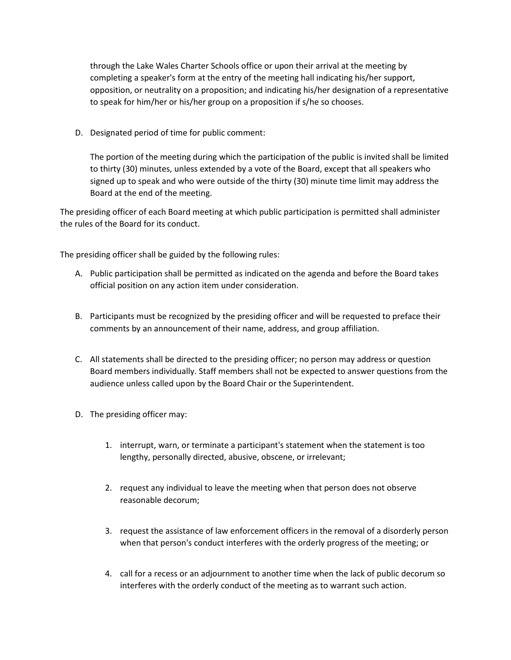through the Lake Wales Charter Schools office or upon their arrival at the meeting by completing a speaker's form at the entry of the meeting hall indicating his/her support, opposition, or neutrality on a proposition; and indicating his/her designation of a representative to speak for him/her or his/her group on a proposition if s/he so chooses.

D. Designated period of time for public comment:

The portion of the meeting during which the participation of the public is invited shall be limited to thirty (30) minutes, unless extended by a vote of the Board, except that all speakers who signed up to speak and who were outside of the thirty (30) minute time limit may address the Board at the end of the meeting.

The presiding officer of each Board meeting at which public participation is permitted shall administer the rules of the Board for its conduct.

The presiding officer shall be guided by the following rules:

- A. Public participation shall be permitted as indicated on the agenda and before the Board takes official position on any action item under consideration.
- B. Participants must be recognized by the presiding officer and will be requested to preface their comments by an announcement of their name, address, and group affiliation.
- C. All statements shall be directed to the presiding officer; no person may address or question Board members individually. Staff members shall not be expected to answer questions from the audience unless called upon by the Board Chair or the Superintendent.
- D. The presiding officer may:
	- 1. interrupt, warn, or terminate a participant's statement when the statement is too lengthy, personally directed, abusive, obscene, or irrelevant;
	- 2. request any individual to leave the meeting when that person does not observe reasonable decorum;
	- 3. request the assistance of law enforcement officers in the removal of a disorderly person when that person's conduct interferes with the orderly progress of the meeting; or
	- 4. call for a recess or an adjournment to another time when the lack of public decorum so interferes with the orderly conduct of the meeting as to warrant such action.